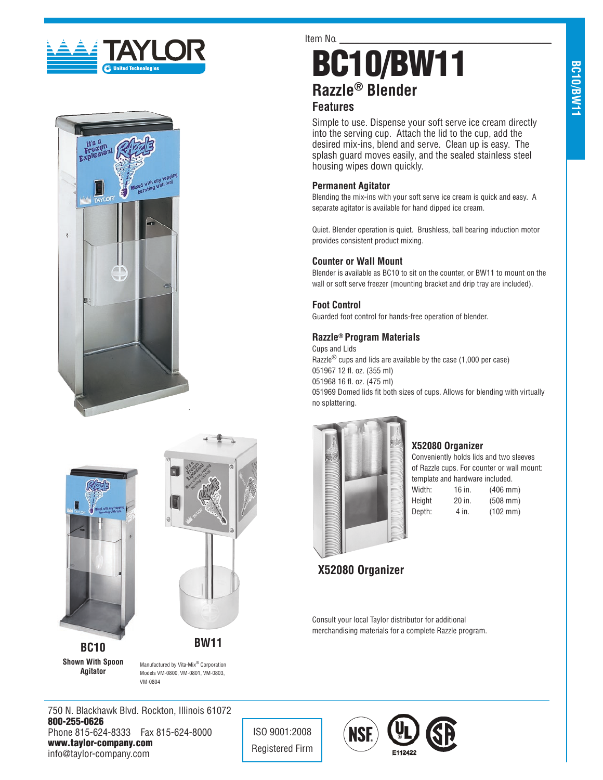







**Shown With Spoon Agitator**

Manufactured by Vita-Mix® Corporation Models VM-0800, VM-0801, VM-0803, VM-0804

Item No.

# BC10/BW11 **Razzle® Blender**

# **Features**

Simple to use. Dispense your soft serve ice cream directly into the serving cup. Attach the lid to the cup, add the desired mix-ins, blend and serve. Clean up is easy. The splash guard moves easily, and the sealed stainless steel housing wipes down quickly.

# **Permanent Agitator**

Blending the mix-ins with your soft serve ice cream is quick and easy. A separate agitator is available for hand dipped ice cream.

Quiet. Blender operation is quiet. Brushless, ball bearing induction motor provides consistent product mixing.

### **Counter or Wall Mount**

Blender is available as BC10 to sit on the counter, or BW11 to mount on the wall or soft serve freezer (mounting bracket and drip tray are included).

# **Foot Control**

Guarded foot control for hands-free operation of blender.

# **Razzle® Program Materials**

Cups and Lids Razzle® cups and lids are available by the case (1,000 per case) 051967 12 fl. oz. (355 ml) 051968 16 fl. oz. (475 ml) 051969 Domed lids fit both sizes of cups. Allows for blending with virtually no splattering.



### **X52080 Organizer**

Conveniently holds lids and two sleeves of Razzle cups. For counter or wall mount: template and hardware included.

Width: **Height** Depth:

| $(406 \, \text{mm})$ |
|----------------------|
| $(508$ mm)           |
| $(102 \, \text{mm})$ |
|                      |

# **X52080 Organizer**

Consult your local Taylor distributor for additional merchandising materials for a complete Razzle program.

750 N. Blackhawk Blvd. Rockton, Illinois 61072 800-255-0626 Phone 815-624-8333 Fax 815-624-8000 www.taylor-company.com info@taylor-company.com

ISO 9001:2008 Registered Firm